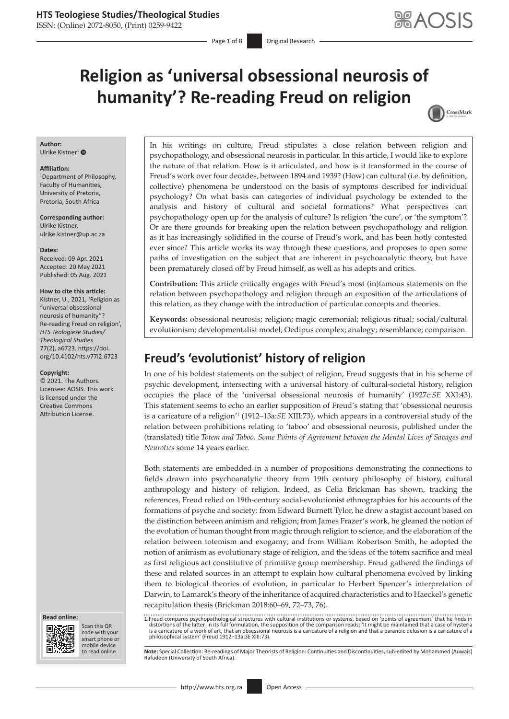ISSN: (Online) 2072-8050, (Print) 0259-9422

Page 1 of 8 **Original Research** 

# **Religion as 'universal obsessional neurosis of humanity'? Re-reading Freud on religion**

## CrossMark

#### **Author:** Ulrike Kistner<sup>[1](https://orcid.org/0000-0003-1522-8983)</sup> $\bullet$

**Affiliation:**

1 Department of Philosophy, Faculty of Humanities, University of Pretoria, Pretoria, South Africa

**Corresponding author:** Ulrike Kistner, [ulrike.kistner@up.ac.za](mailto:ulrike.kistner@up.ac.za)

#### **Dates:**

Received: 09 Apr. 2021 Accepted: 20 May 2021 Published: 05 Aug. 2021

#### **How to cite this article:**

Kistner, U., 2021, 'Religion as "universal obsessional neurosis of humanity"? Re-reading Freud on religion', *HTS Teologiese Studies/ Theological Studies* 77(2), a6723. [https://doi.](https://doi.org/10.4102/hts.v77i2.6723) [org/10.4102/hts.v77i2.6723](https://doi.org/10.4102/hts.v77i2.6723)

#### **Copyright:**

© 2021. The Authors. Licensee: AOSIS. This work is licensed under the Creative Commons Attribution License.





Scan this QR code with your Scan this QR<br>code with your<br>smart phone or<br>mobile device mobile device to read online.

In his writings on culture, Freud stipulates a close relation between religion and psychopathology, and obsessional neurosis in particular. In this article, I would like to explore the nature of that relation. How is it articulated, and how is it transformed in the course of Freud's work over four decades, between 1894 and 1939? (How) can cultural (i.e. by definition, collective) phenomena be understood on the basis of symptoms described for individual psychology? On what basis can categories of individual psychology be extended to the analysis and history of cultural and societal formations? What perspectives can psychopathology open up for the analysis of culture? Is religion 'the cure', or 'the symptom'? Or are there grounds for breaking open the relation between psychopathology and religion as it has increasingly solidified in the course of Freud's work, and has been hotly contested ever since? This article works its way through these questions, and proposes to open some paths of investigation on the subject that are inherent in psychoanalytic theory, but have been prematurely closed off by Freud himself, as well as his adepts and critics.

**Contribution:** This article critically engages with Freud's most (in)famous statements on the relation between psychopathology and religion through an exposition of the articulations of this relation, as they change with the introduction of particular concepts and theories.

**Keywords:** obsessional neurosis; religion; magic ceremonial; religious ritual; social/cultural evolutionism; developmentalist model; Oedipus complex; analogy; resemblance; comparison.

## **Freud's 'evolutionist' history of religion**

In one of his boldest statements on the subject of religion, Freud suggests that in his scheme of psychic development, intersecting with a universal history of cultural-societal history, religion occupies the place of the 'universal obsessional neurosis of humanity' (1927c:*SE* XXI:43). This statement seems to echo an earlier supposition of Freud's stating that 'obsessional neurosis is a caricature of a religion'1 (1912–13a:*SE* XIII:73), which appears in a controversial study of the relation between prohibitions relating to 'taboo' and obsessional neurosis, published under the (translated) title *Totem and Taboo. Some Points of Agreement between the Mental Lives of Savages and Neurotics* some 14 years earlier.

Both statements are embedded in a number of propositions demonstrating the connections to fields drawn into psychoanalytic theory from 19th century philosophy of history, cultural anthropology and history of religion. Indeed, as Celia Brickman has shown, tracking the references, Freud relied on 19th-century social-evolutionist ethnographies for his accounts of the formations of psyche and society: from Edward Burnett Tylor, he drew a stagist account based on the distinction between animism and religion; from James Frazer's work, he gleaned the notion of the evolution of human thought from magic through religion to science, and the elaboration of the relation between totemism and exogamy; and from William Robertson Smith, he adopted the notion of animism as evolutionary stage of religion, and the ideas of the totem sacrifice and meal as first religious act constitutive of primitive group membership. Freud gathered the findings of these and related sources in an attempt to explain how cultural phenomena evolved by linking them to biological theories of evolution, in particular to Herbert Spencer's interpretation of Darwin, to Lamarck's theory of the inheritance of acquired characteristics and to Haeckel's genetic recapitulation thesis (Brickman 2018:60–69, 72–73, 76).

1.Freud compares psychopathological structures with cultural institutions or systems, based on 'points of agreement' that he finds in distortions of the latter. In its full formulation, the supposition of the comparison reads: 'It might be maintained that a case of hysteria is a caricature of a work of art, that an obsessional neurosis is a caricature of a religion and that a paranoic delusion is a caricature of a philosophical system' (Freud 1912–13a:*SE* XIII:73).

Note: Special Collection: Re-readings of Major Theorists of Religion: Continuities and Discontinuities, sub-edited by Mohammed (Auwais) Rafudeen (University of South Africa).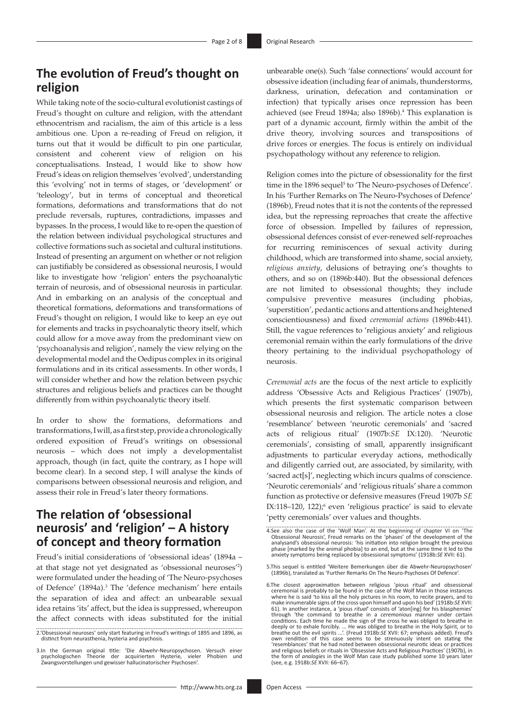## **The evolution of Freud's thought on religion**

While taking note of the socio-cultural evolutionist castings of Freud's thought on culture and religion, with the attendant ethnocentrism and racialism, the aim of this article is a less ambitious one. Upon a re-reading of Freud on religion, it turns out that it would be difficult to pin one particular, consistent and coherent view of religion on his conceptualisations. Instead, I would like to show how Freud's ideas on religion themselves 'evolved', understanding this 'evolving' not in terms of stages, or 'development' or 'teleology', but in terms of conceptual and theoretical formations, deformations and transformations that do not preclude reversals, ruptures, contradictions, impasses and bypasses. In the process, I would like to re-open the question of the relation between individual psychological structures and collective formations such as societal and cultural institutions. Instead of presenting an argument on whether or not religion can justifiably be considered as obsessional neurosis, I would like to investigate how 'religion' enters the psychoanalytic terrain of neurosis, and of obsessional neurosis in particular. And in embarking on an analysis of the conceptual and theoretical formations, deformations and transformations of Freud's thought on religion, I would like to keep an eye out for elements and tracks in psychoanalytic theory itself, which could allow for a move away from the predominant view on 'psychoanalysis and religion', namely the view relying on the developmental model and the Oedipus complex in its original formulations and in its critical assessments. In other words, I will consider whether and how the relation between psychic structures and religious beliefs and practices can be thought differently from within psychoanalytic theory itself.

In order to show the formations, deformations and transformations, I will, as a first step, provide a chronologically ordered exposition of Freud's writings on obsessional neurosis – which does not imply a developmentalist approach, though (in fact, quite the contrary, as I hope will become clear). In a second step, I will analyse the kinds of comparisons between obsessional neurosis and religion, and assess their role in Freud's later theory formations.

### **The relation of 'obsessional neurosis' and 'religion' – A history of concept and theory formation**

Freud's initial considerations of 'obsessional ideas' (1894a – at that stage not yet designated as 'obsessional neuroses'2 ) were formulated under the heading of 'The Neuro-psychoses of Defence' (1894a).<sup>3</sup> The 'defence mechanism' here entails the separation of idea and affect: an unbearable sexual idea retains 'its' affect, but the idea is suppressed, whereupon the affect connects with ideas substituted for the initial

unbearable one(s). Such 'false connections' would account for obsessive ideation (including fear of animals, thunderstorms, darkness, urination, defecation and contamination or infection) that typically arises once repression has been achieved (see Freud 1894a; also 1896b).<sup>4</sup> This explanation is part of a dynamic account, firmly within the ambit of the drive theory, involving sources and transpositions of drive forces or energies. The focus is entirely on individual psychopathology without any reference to religion.

Religion comes into the picture of obsessionality for the first time in the 1896 sequel<sup>5</sup> to 'The Neuro-psychoses of Defence'. In his 'Further Remarks on The Neuro-Psychoses of Defence' (1896b), Freud notes that it is not the contents of the repressed idea, but the repressing reproaches that create the affective force of obsession. Impelled by failures of repression, obsessional defences consist of ever-renewed self-reproaches for recurring reminiscences of sexual activity during childhood, which are transformed into shame, social anxiety, *religious anxiety*, delusions of betraying one's thoughts to others, and so on (1896b:440). But the obsessional defences are not limited to obsessional thoughts; they include compulsive preventive measures (including phobias, 'superstition', pedantic actions and attentions and heightened conscientiousness) and fixed *ceremonial actions* (1896b:441). Still, the vague references to 'religious anxiety' and religious ceremonial remain within the early formulations of the drive theory pertaining to the individual psychopathology of neurosis.

*Ceremonial acts* are the focus of the next article to explicitly address 'Obsessive Acts and Religious Practices' (1907b), which presents the first systematic comparison between obsessional neurosis and religion. The article notes a close 'resemblance' between 'neurotic ceremonials' and 'sacred acts of religious ritual' (1907b:*SE* IX:120). 'Neurotic ceremonials', consisting of small, apparently insignificant adjustments to particular everyday actions, methodically and diligently carried out, are associated, by similarity, with 'sacred act[s]', neglecting which incurs qualms of conscience. 'Neurotic ceremonials' and 'religious rituals' share a common function as protective or defensive measures (Freud 1907b *SE*  IX:118-120, 122);<sup>6</sup> even 'religious practice' is said to elevate 'petty ceremonials' over values and thoughts.

<sup>2.&#</sup>x27;Obsessional neuroses' only start featuring in Freud's writings of 1895 and 1896, as distinct from neurasthenia, hysteria and psychosis.

<sup>3.</sup>In the German original title: 'Die Abwehr-Neuropsychosen. Versuch einer psychologischen Theorie der acquirierten Hysterie, vieler Phobien und Zwangsvorstellungen und gewisser hallucinatorischer Psychosen'.

<sup>4.</sup>See also the case of the 'Wolf Man'. At the beginning of chapter VI on 'The Obsessional Neurosis', Freud remarks on the 'phases' of the development of the analysand's obsessional neurosis: 'his initiation into religion brought the previous phase [marked by the animal phobia] to an end, but at the same time it led to the anxiety symptoms being replaced by obsessional symptoms' (1918b:*SE* XVII: 61).

<sup>5.</sup>This sequel is entitled 'Weitere Bemerkungen über die Abwehr-Neuropsychosen' (1896b), translated as 'Further Remarks On The Neuro-Psychoses Of Defence'.

<sup>6.</sup>The closest approximation between religious 'pious ritual' and obsessional ceremonial is probably to be found in the case of the Wolf Man in those instances where he is said 'to kiss all the holy pictures in his room, to make innumerable signs of the cross upon himself and upon his bed' (1918b:SE XVII:<br>61). In another instance, a 'pious ritual' consists of 'aton[ing] for his blasphemies'<br>through 'the command to breathe in a ceremonious man conditions. Each time he made the sign of the cross he was obliged to breathe in deeply or to exhale forcibly. ... He was obliged to breathe in the Holy Spirit, or to breathe out the evil spirits ...'. (Freud 1918b:*SE* XVII: 67; emphasis added). Freud's own rendition of this case seems to be strenuously intent on stating the 'resemblances' that he had noted between obsessional neurotic ideas or practices and religious beliefs or rituals in 'Obsessive Acts and Religious Practices' (1907b), in the form of *analogies* in the Wolf Man case study published some 10 years later (see, e.g. 1918b:*SE* XVII: 66–67).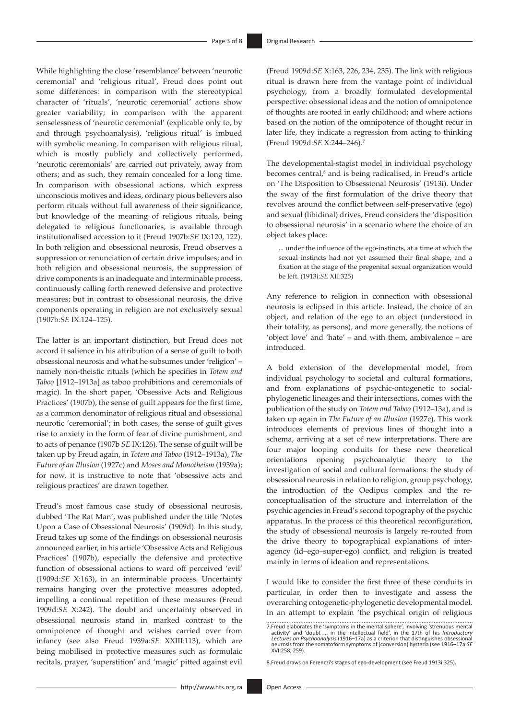While highlighting the close 'resemblance' between 'neurotic ceremonial' and 'religious ritual', Freud does point out some differences: in comparison with the stereotypical character of 'rituals', 'neurotic ceremonial' actions show greater variability; in comparison with the apparent senselessness of 'neurotic ceremonial' (explicable only to, by and through psychoanalysis), 'religious ritual' is imbued with symbolic meaning. In comparison with religious ritual, which is mostly publicly and collectively performed, 'neurotic ceremonials' are carried out privately, away from others; and as such, they remain concealed for a long time. In comparison with obsessional actions, which express unconscious motives and ideas, ordinary pious believers also perform rituals without full awareness of their significance, but knowledge of the meaning of religious rituals, being delegated to religious functionaries, is available through institutionalised accession to it (Freud 1907b:*SE* IX:120, 122). In both religion and obsessional neurosis, Freud observes a suppression or renunciation of certain drive impulses; and in both religion and obsessional neurosis, the suppression of drive components is an inadequate and interminable process, continuously calling forth renewed defensive and protective measures; but in contrast to obsessional neurosis, the drive components operating in religion are not exclusively sexual (1907b:*SE* IX:124–125).

The latter is an important distinction, but Freud does not accord it salience in his attribution of a sense of guilt to both obsessional neurosis and what he subsumes under 'religion' – namely non-theistic rituals (which he specifies in *Totem and Taboo* [1912–1913a] as taboo prohibitions and ceremonials of magic). In the short paper, 'Obsessive Acts and Religious Practices' (1907b), the sense of guilt appears for the first time, as a common denominator of religious ritual and obsessional neurotic 'ceremonial'; in both cases, the sense of guilt gives rise to anxiety in the form of fear of divine punishment, and to acts of penance (1907b *SE* IX:126). The sense of guilt will be taken up by Freud again, in *Totem and Taboo* (1912–1913a), *The Future of an Illusion* (1927c) and *Moses and Monotheism* (1939a); for now, it is instructive to note that 'obsessive acts and religious practices' are drawn together.

Freud's most famous case study of obsessional neurosis, dubbed 'The Rat Man', was published under the title 'Notes Upon a Case of Obsessional Neurosis' (1909d). In this study, Freud takes up some of the findings on obsessional neurosis announced earlier, in his article 'Obsessive Acts and Religious Practices' (1907b), especially the defensive and protective function of obsessional actions to ward off perceived 'evil' (1909d:*SE* X:163), in an interminable process. Uncertainty remains hanging over the protective measures adopted, impelling a continual repetition of these measures (Freud 1909d:*SE* X:242). The doubt and uncertainty observed in obsessional neurosis stand in marked contrast to the omnipotence of thought and wishes carried over from infancy (see also Freud 1939a:*SE* XXIII:113), which are being mobilised in protective measures such as formulaic recitals, prayer, 'superstition' and 'magic' pitted against evil (Freud 1909d:*SE* X:163, 226, 234, 235). The link with religious ritual is drawn here from the vantage point of individual psychology, from a broadly formulated developmental perspective: obsessional ideas and the notion of omnipotence of thoughts are rooted in early childhood; and where actions based on the notion of the omnipotence of thought recur in later life, they indicate a regression from acting to thinking (Freud 1909d:*SE* X:244–246).7

The developmental-stagist model in individual psychology becomes central,<sup>8</sup> and is being radicalised, in Freud's article on 'The Disposition to Obsessional Neurosis' (1913i). Under the sway of the first formulation of the drive theory that revolves around the conflict between self-preservative (ego) and sexual (libidinal) drives, Freud considers the 'disposition to obsessional neurosis' in a scenario where the choice of an object takes place:

... under the influence of the ego-instincts, at a time at which the sexual instincts had not yet assumed their final shape, and a fixation at the stage of the pregenital sexual organization would be left. (1913i:*SE* XII:325)

Any reference to religion in connection with obsessional neurosis is eclipsed in this article. Instead, the choice of an object, and relation of the ego to an object (understood in their totality, as persons), and more generally, the notions of 'object love' and 'hate' – and with them, ambivalence – are introduced.

A bold extension of the developmental model, from individual psychology to societal and cultural formations, and from explanations of psychic-ontogenetic to socialphylogenetic lineages and their intersections, comes with the publication of the study on *Totem and Taboo* (1912–13a), and is taken up again in *The Future of an Illusion* (1927c). This work introduces elements of previous lines of thought into a schema, arriving at a set of new interpretations. There are four major looping conduits for these new theoretical orientations opening psychoanalytic theory to the investigation of social and cultural formations: the study of obsessional neurosis in relation to religion, group psychology, the introduction of the Oedipus complex and the reconceptualisation of the structure and interrelation of the psychic agencies in Freud's second topography of the psychic apparatus. In the process of this theoretical reconfiguration, the study of obsessional neurosis is largely re-routed from the drive theory to topographical explanations of interagency (id–ego–super-ego) conflict, and religion is treated mainly in terms of ideation and representations.

I would like to consider the first three of these conduits in particular, in order then to investigate and assess the overarching ontogenetic-phylogenetic developmental model. In an attempt to explain 'the psychical origin of religious

8.Freud draws on Ferenczi's stages of ego-development (see Freud 1913i:325).

<sup>7.</sup>Freud elaborates the 'symptoms in the mental sphere', involving 'strenuous mental activity' and 'doubt ... in the intellectual field', in the 17th of his *Introductory Lectures on Psychoanalysis* (1916–17a) as a criterion that distinguishes obsessional neurosis from the somatoform symptoms of (conversion) hysteria (see 1916–17a:*SE*  XVI:258, 259).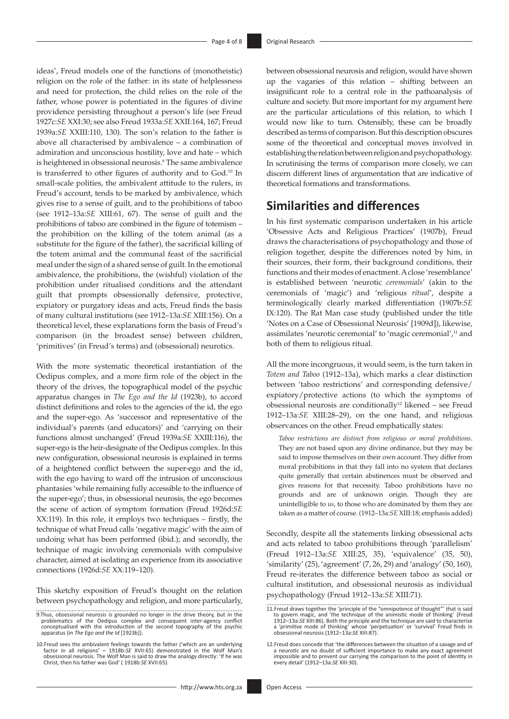ideas', Freud models one of the functions of (monotheistic) religion on the role of the father: in its state of helplessness and need for protection, the child relies on the role of the father, whose power is potentiated in the figures of divine providence persisting throughout a person's life (see Freud 1927c:*SE* XXI:30; see also Freud 1933a:*SE* XXII:164, 167; Freud 1939a:*SE* XXIII:110, 130). The son's relation to the father is above all characterised by ambivalence – a combination of admiration and unconscious hostility, love and hate – which is heightened in obsessional neurosis.9 The same ambivalence is transferred to other figures of authority and to God.10 In small-scale polities, the ambivalent attitude to the rulers, in Freud's account, tends to be marked by ambivalence, which gives rise to a sense of guilt, and to the prohibitions of taboo (see 1912–13a:*SE* XIII:61, 67). The sense of guilt and the prohibitions of taboo are combined in the figure of totemism – the prohibition on the killing of the totem animal (as a substitute for the figure of the father), the sacrificial killing of the totem animal and the communal feast of the sacrificial meal under the sign of a shared sense of guilt. In the emotional ambivalence, the prohibitions, the (wishful) violation of the prohibition under ritualised conditions and the attendant guilt that prompts obsessionally defensive, protective, expiatory or purgatory ideas and acts, Freud finds the basis of many cultural institutions (see 1912–13a:*SE* XIII:156). On a theoretical level, these explanations form the basis of Freud's comparison (in the broadest sense) between children, 'primitives' (in Freud's terms) and (obsessional) neurotics.

With the more systematic theoretical instantiation of the Oedipus complex, and a more firm role of the object in the theory of the drives, the topographical model of the psychic apparatus changes in *The Ego and the Id* (1923b), to accord distinct definitions and roles to the agencies of the id, the ego and the super-ego. As 'successor and representative of the individual's parents (and educators)' and 'carrying on their functions almost unchanged' (Freud 1939a:*SE* XXIII:116), the super-ego is the heir-designate of the Oedipus complex. In this new configuration, obsessional neurosis is explained in terms of a heightened conflict between the super-ego and the id, with the ego having to ward off the intrusion of unconscious phantasies 'while remaining fully accessible to the influence of the super-ego'; thus, in obsessional neurosis, the ego becomes the scene of action of symptom formation (Freud 1926d:*SE*  XX:119). In this role, it employs two techniques – firstly, the technique of what Freud calls 'negative magic' with the aim of undoing what has been performed (ibid.); and secondly, the technique of magic involving ceremonials with compulsive character, aimed at isolating an experience from its associative connections (1926d:*SE* XX:119–120).

This sketchy exposition of Freud's thought on the relation between psychopathology and religion, and more particularly, between obsessional neurosis and religion, would have shown up the vagaries of this relation – shifting between an insignificant role to a central role in the pathoanalysis of culture and society. But more important for my argument here are the particular articulations of this relation, to which I would now like to turn. Ostensibly, these can be broadly described as terms of comparison. But this description obscures some of the theoretical and conceptual moves involved in establishing the relation between religion and psychopathology. In scrutinising the terms of comparison more closely, we can discern different lines of argumentation that are indicative of theoretical formations and transformations.

### **Similarities and differences**

In his first systematic comparison undertaken in his article 'Obsessive Acts and Religious Practices' (1907b), Freud draws the characterisations of psychopathology and those of religion together, despite the differences noted by him, in their sources, their form, their background conditions, their functions and their modes of enactment. A close 'resemblance' is established between 'neurotic *ceremonials*' (akin to the ceremonials of 'magic') and 'religious *ritual*', despite a terminologically clearly marked differentiation (1907b:*SE*  IX:120). The Rat Man case study (published under the title 'Notes on a Case of Obsessional Neurosis' [1909d]), likewise, assimilates 'neurotic ceremonial' to 'magic ceremonial',11 and both of them to religious ritual.

All the more incongruous, it would seem, is the turn taken in *Totem and Taboo* (1912–13a), which marks a clear distinction between 'taboo restrictions' and corresponding defensive/ expiatory/protective actions (to which the symptoms of obsessional neurosis are conditionally<sup>12</sup> likened – see Freud 1912–13a:*SE* XIII:28–29), on the one hand, and religious observances on the other. Freud emphatically states:

*Taboo restrictions are distinct from religious or moral prohibitions*. They are not based upon any divine ordinance, but they may be said to impose themselves on their own account. They differ from moral prohibitions in that they fall into no system that declares quite generally that certain abstinences must be observed and gives reasons for that necessity. Taboo prohibitions have no grounds and are of unknown origin. Though they are unintelligible to *us*, to those who are dominated by them they are taken as a matter of course. (1912–13a:*SE* XIII:18; emphasis added)

Secondly, despite all the statements linking obsessional acts and acts related to taboo prohibitions through 'parallelism' (Freud 1912–13a:*SE* XIII:25, 35), 'equivalence' (35, 50), 'similarity' (25), 'agreement' (7, 26, 29) and 'analogy' (50, 160), Freud re-iterates the difference between taboo as social or cultural institution, and obsessional neurosis as individual psychopathology (Freud 1912–13a:*SE* XIII:71).

<sup>9.</sup> Thus, obsessional neurosis is grounded no longer in the drive theory, but in the problematics of the Oedipus complex and consequent inter-agency conflict conceptualised with the introduction of the second topography of

<sup>10.</sup> Freud sees the ambivalent feelings towards the father ('which are an underlying<br>factor in all religions' — 1918b:SE XVII:65) demonstrated in the Wolf<br>obsessional neurosis. The Wolf Man is said to draw the analogy direc Christ, then his father was God' ( 1918b:*SE* XVII:65).

<sup>11.</sup> Freud draws together the 'principle of the "omnipotence of thought"' that is said<br>to govern magic, and 'the technique of the animistic mode of thinking' (Freud<br>1912–13a:SE XIII:86). Both the principle and the techniqu

<sup>12.</sup>Freud does concede that 'the differences between the situation of a savage and of a neurotic are no doubt of sufficient importance to make any exact agreement impossible and to prevent our carrying the comparison to the point of identity in every detail' (1912–13a:*SE* XIII:30).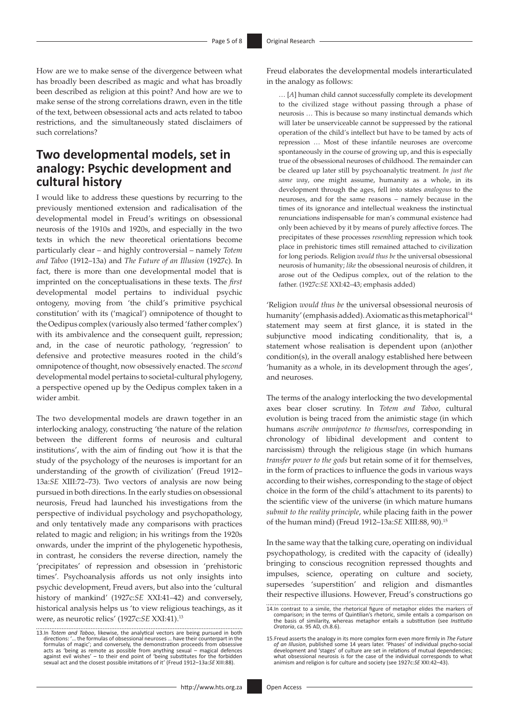How are we to make sense of the divergence between what has broadly been described as magic and what has broadly been described as religion at this point? And how are we to make sense of the strong correlations drawn, even in the title of the text, between obsessional acts and acts related to taboo restrictions, and the simultaneously stated disclaimers of such correlations?

### **Two developmental models, set in analogy: Psychic development and cultural history**

I would like to address these questions by recurring to the previously mentioned extension and radicalisation of the developmental model in Freud's writings on obsessional neurosis of the 1910s and 1920s, and especially in the two texts in which the new theoretical orientations become particularly clear – and highly controversial – namely *Totem and Taboo* (1912–13a) and *The Future of an Illusion* (1927c). In fact, there is more than one developmental model that is imprinted on the conceptualisations in these texts. The *first*  developmental model pertains to individual psychic ontogeny, moving from 'the child's primitive psychical constitution' with its ('magical') omnipotence of thought to the Oedipus complex (variously also termed 'father complex') with its ambivalence and the consequent guilt, repression; and, in the case of neurotic pathology, 'regression' to defensive and protective measures rooted in the child's omnipotence of thought, now obsessively enacted. The *second* developmental model pertains to societal-cultural phylogeny, a perspective opened up by the Oedipus complex taken in a wider ambit.

The two developmental models are drawn together in an interlocking analogy, constructing 'the nature of the relation between the different forms of neurosis and cultural institutions', with the aim of finding out 'how it is that the study of the psychology of the neuroses is important for an understanding of the growth of civilization' (Freud 1912– 13a:*SE* XIII:72–73). Two vectors of analysis are now being pursued in both directions. In the early studies on obsessional neurosis, Freud had launched his investigations from the perspective of individual psychology and psychopathology, and only tentatively made any comparisons with practices related to magic and religion; in his writings from the 1920s onwards, under the imprint of the phylogenetic hypothesis, in contrast, he considers the reverse direction, namely the 'precipitates' of repression and obsession in 'prehistoric times'. Psychoanalysis affords us not only insights into psychic development, Freud avers, but also into the 'cultural history of mankind' (1927c:*SE* XXI:41–42) and conversely, historical analysis helps us 'to view religious teachings, as it were, as neurotic relics' (1927c:*SE* XXI:41).13

Freud elaborates the developmental models interarticulated in the analogy as follows:

… [*A*] human child cannot successfully complete its development to the civilized stage without passing through a phase of neurosis … This is because so many instinctual demands which will later be unserviceable cannot be suppressed by the rational operation of the child's intellect but have to be tamed by acts of repression … Most of these infantile neuroses are overcome spontaneously in the course of growing up, and this is especially true of the obsessional neuroses of childhood. The remainder can be cleared up later still by psychoanalytic treatment. *In just the same way*, one might assume, humanity as a whole, in its development through the ages, fell into states *analogous* to the neuroses, and for the same reasons – namely because in the times of its ignorance and intellectual weakness the instinctual renunciations indispensable for man's communal existence had only been achieved by it by means of purely affective forces. The precipitates of these processes *resemblin*g repression which took place in prehistoric times still remained attached to civilization for long periods. Religion *would thus be* the universal obsessional neurosis of humanity; *like* the obsessional neurosis of children, it arose out of the Oedipus complex, out of the relation to the father. (1927c:*SE* XXI:42–43; emphasis added)

'Religion *would thus be* the universal obsessional neurosis of humanity' (emphasis added). Axiomatic as this metaphorical<sup>14</sup> statement may seem at first glance, it is stated in the subjunctive mood indicating conditionality, that is, a statement whose realisation is dependent upon (an)other condition(s), in the overall analogy established here between 'humanity as a whole, in its development through the ages', and neuroses.

The terms of the analogy interlocking the two developmental axes bear closer scrutiny. In *Totem and Taboo*, cultural evolution is being traced from the animistic stage (in which humans *ascribe omnipotence to themselves*, corresponding in chronology of libidinal development and content to narcissism) through the religious stage (in which humans *transfer power to the gods* but retain some of it for themselves, in the form of practices to influence the gods in various ways according to their wishes, corresponding to the stage of object choice in the form of the child's attachment to its parents) to the scientific view of the universe (in which mature humans *submit to the reality principle*, while placing faith in the power of the human mind) (Freud 1912–13a:*SE* XIII:88, 90).15

In the same way that the talking cure, operating on individual psychopathology, is credited with the capacity of (ideally) bringing to conscious recognition repressed thoughts and impulses, science, operating on culture and society, supersedes 'superstition' and religion and dismantles their respective illusions. However, Freud's constructions go

<sup>13.</sup>In *Totem and Taboo*, likewise, the analytical vectors are being pursued in both directions: '... the formulas of obsessional neuroses ... have their counterpart in the formulas of magic'; and conversely, the demonstration proceeds from obsessive acts as 'oeing as remote as possible from anything sexu

<sup>14.</sup>In contrast to a simile, the rhetorical figure of metaphor elides the markers of comparison; in the terms of Quintilian's rhetoric, simile entails a comparison on the basis of similarity, whereas metaphor entails a subs *Oratoria*, ca. 95 AD, ch.8.6).

<sup>15.</sup> Freud asserts the analogy in its more complex form even more firmly in The Future of an Illusion, published some 14 years later. 'Phases' of individual psycho-social development and 'stages' of culture are set in relat what obsessional neurosis is for the case of the individual corresponds to what animism and religion is for culture and society (see 1927c:*SE* XXI:42–43).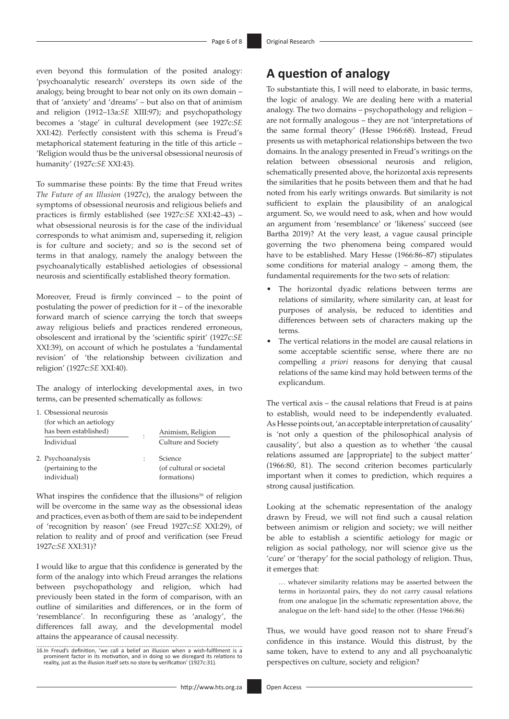even beyond this formulation of the posited analogy: 'psychoanalytic research' oversteps its own side of the analogy, being brought to bear not only on its own domain – that of 'anxiety' and 'dreams' – but also on that of animism and religion (1912–13a:*SE* XIII:97); and psychopathology becomes a 'stage' in cultural development (see 1927c:*SE*  XXI:42). Perfectly consistent with this schema is Freud's metaphorical statement featuring in the title of this article – 'Religion would thus be the universal obsessional neurosis of humanity' (1927c:*SE* XXI:43).

To summarise these points: By the time that Freud writes *The Future of an Illusion* (1927c), the analogy between the symptoms of obsessional neurosis and religious beliefs and practices is firmly established (see 1927c:*SE* XXI:42–43) – what obsessional neurosis is for the case of the individual corresponds to what animism and, superseding it, religion is for culture and society; and so is the second set of terms in that analogy, namely the analogy between the psychoanalytically established aetiologies of obsessional neurosis and scientifically established theory formation.

Moreover, Freud is firmly convinced – to the point of postulating the power of prediction for it – of the inexorable forward march of science carrying the torch that sweeps away religious beliefs and practices rendered erroneous, obsolescent and irrational by the 'scientific spirit' (1927c:*SE*  XXI:39), on account of which he postulates a 'fundamental revision' of 'the relationship between civilization and religion' (1927c:*SE* XXI:40).

The analogy of interlocking developmental axes, in two terms, can be presented schematically as follows:

| 1. Obsessional neurosis           |                |                          |
|-----------------------------------|----------------|--------------------------|
| (for which an aetiology           |                |                          |
| has been established)             | $\ddot{\cdot}$ | Animism, Religion        |
| Individual                        |                | Culture and Society      |
| 2. Psychoanalysis                 |                | Science                  |
| (pertaining to the<br>individual) |                | (of cultural or societal |
|                                   |                | formations)              |

What inspires the confidence that the illusions<sup>16</sup> of religion will be overcome in the same way as the obsessional ideas and practices, even as both of them are said to be independent of 'recognition by reason' (see Freud 1927c:*SE* XXI:29), of relation to reality and of proof and verification (see Freud 1927c:*SE* XXI:31)?

I would like to argue that this confidence is generated by the form of the analogy into which Freud arranges the relations between psychopathology and religion, which had previously been stated in the form of comparison, with an outline of similarities and differences, or in the form of 'resemblance'. In reconfiguring these as 'analogy', the differences fall away, and the developmental model attains the appearance of causal necessity.

## **A question of analogy**

To substantiate this, I will need to elaborate, in basic terms, the logic of analogy. We are dealing here with a material analogy. The two domains – psychopathology and religion – are not formally analogous – they are not 'interpretations of the same formal theory' (Hesse 1966:68). Instead, Freud presents us with metaphorical relationships between the two domains. In the analogy presented in Freud's writings on the relation between obsessional neurosis and religion, schematically presented above, the horizontal axis represents the similarities that he posits between them and that he had noted from his early writings onwards. But similarity is not sufficient to explain the plausibility of an analogical argument. So, we would need to ask, when and how would an argument from 'resemblance' or 'likeness' succeed (see Bartha 2019)? At the very least, a vague causal principle governing the two phenomena being compared would have to be established. Mary Hesse (1966:86–87) stipulates some conditions for material analogy – among them, the fundamental requirements for the two sets of relation:

- The horizontal dyadic relations between terms are relations of similarity, where similarity can, at least for purposes of analysis, be reduced to identities and differences between sets of characters making up the terms.
- The vertical relations in the model are causal relations in some acceptable scientific sense, where there are no compelling *a priori* reasons for denying that causal relations of the same kind may hold between terms of the explicandum.

The vertical axis – the causal relations that Freud is at pains to establish, would need to be independently evaluated. As Hesse points out, 'an acceptable interpretation of causality' is 'not only a question of the philosophical analysis of causality', but also a question as to whether 'the causal relations assumed are [appropriate] to the subject matter' (1966:80, 81). The second criterion becomes particularly important when it comes to prediction, which requires a strong causal justification.

Looking at the schematic representation of the analogy drawn by Freud, we will not find such a causal relation between animism or religion and society; we will neither be able to establish a scientific aetiology for magic or religion as social pathology, nor will science give us the 'cure' or 'therapy' for the social pathology of religion. Thus, it emerges that:

… whatever similarity relations may be asserted between the terms in horizontal pairs, they do not carry causal relations from one analogue [in the schematic representation above, the analogue on the left- hand side] to the other. (Hesse 1966:86)

Thus, we would have good reason not to share Freud's confidence in this instance. Would this distrust, by the same token, have to extend to any and all psychoanalytic perspectives on culture, society and religion?

<sup>16.</sup>In Freud's definition, 'we call a belief an illusion when a wish-fulfilment is a prominent factor in its motivation, and in doing so we disregard its relations to reality, just as the illusion itself sets no store by verification' (1927c:31).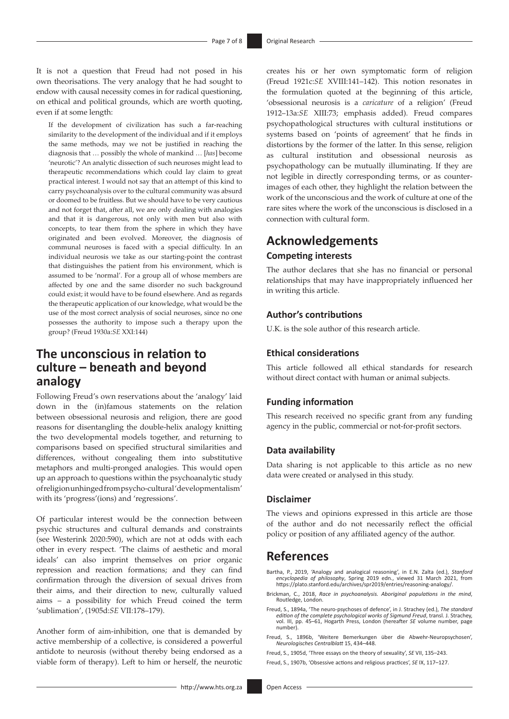It is not a question that Freud had not posed in his own theorisations. The very analogy that he had sought to endow with causal necessity comes in for radical questioning, on ethical and political grounds, which are worth quoting, even if at some length:

If the development of civilization has such a far-reaching similarity to the development of the individual and if it employs the same methods, may we not be justified in reaching the diagnosis that … possibly the whole of mankind … [*has*] become 'neurotic'? An analytic dissection of such neuroses might lead to therapeutic recommendations which could lay claim to great practical interest. I would not say that an attempt of this kind to carry psychoanalysis over to the cultural community was absurd or doomed to be fruitless. But we should have to be very cautious and not forget that, after all, we are only dealing with analogies and that it is dangerous, not only with men but also with concepts, to tear them from the sphere in which they have originated and been evolved. Moreover, the diagnosis of communal neuroses is faced with a special difficulty. In an individual neurosis we take as our starting-point the contrast that distinguishes the patient from his environment, which is assumed to be 'normal'. For a group all of whose members are affected by one and the same disorder no such background could exist; it would have to be found elsewhere. And as regards the therapeutic application of our knowledge, what would be the use of the most correct analysis of social neuroses, since no one possesses the authority to impose such a therapy upon the group? (Freud 1930a:*SE* XXI:144)

## **The unconscious in relation to culture – beneath and beyond analogy**

Following Freud's own reservations about the 'analogy' laid down in the (in)famous statements on the relation between obsessional neurosis and religion, there are good reasons for disentangling the double-helix analogy knitting the two developmental models together, and returning to comparisons based on specified structural similarities and differences, without congealing them into substitutive metaphors and multi-pronged analogies. This would open up an approach to questions within the psychoanalytic study of religion unhinged from psycho-cultural 'developmentalism' with its 'progress'(ions) and 'regressions'.

Of particular interest would be the connection between psychic structures and cultural demands and constraints (see Westerink 2020:590), which are not at odds with each other in every respect. 'The claims of aesthetic and moral ideals' can also imprint themselves on prior organic repression and reaction formations; and they can find confirmation through the diversion of sexual drives from their aims, and their direction to new, culturally valued aims – a possibility for which Freud coined the term 'sublimation', (1905d:*SE* VII:178–179).

Another form of aim-inhibition, one that is demanded by active membership of a collective, is considered a powerful antidote to neurosis (without thereby being endorsed as a viable form of therapy). Left to him or herself, the neurotic

creates his or her own symptomatic form of religion (Freud 1921c:*SE* XVIII:141–142). This notion resonates in the formulation quoted at the beginning of this article, 'obsessional neurosis is a *caricature* of a religion' (Freud 1912–13a:*SE* XIII:73; emphasis added). Freud compares psychopathological structures with cultural institutions or systems based on 'points of agreement' that he finds in distortions by the former of the latter. In this sense, religion cultural institution and obsessional neurosis as psychopathology can be mutually illuminating. If they are not legible in directly corresponding terms, or as counterimages of each other, they highlight the relation between the work of the unconscious and the work of culture at one of the rare sites where the work of the unconscious is disclosed in a connection with cultural form.

## **Acknowledgements**

### **Competing interests**

The author declares that she has no financial or personal relationships that may have inappropriately influenced her in writing this article.

### **Author's contributions**

U.K. is the sole author of this research article.

### **Ethical considerations**

This article followed all ethical standards for research without direct contact with human or animal subjects.

### **Funding information**

This research received no specific grant from any funding agency in the public, commercial or not-for-profit sectors.

### **Data availability**

Data sharing is not applicable to this article as no new data were created or analysed in this study.

### **Disclaimer**

The views and opinions expressed in this article are those of the author and do not necessarily reflect the official policy or position of any affiliated agency of the author.

### **References**

- Bartha, P., 2019, 'Analogy and analogical reasoning', in E.N. Zalta (ed.), *Stanford encyclopedia of philosophy*, Spring 2019 edn., viewed 31 March 2021, from [https://plato.stanford.edu/archives/spr2019/entries/reasoning-analogy/.](https://plato.stanford.edu/archives/spr2019/entries/reasoning-analogy/)
- Brickman, C., 2018, *Race in psychoanalysis. Aboriginal populations in the mind*, Routledge, London.
- Freud, S., 1894a, 'The neuro-psychoses of defence', in J. Strachey (ed.), *The standard edition of the complete psychological works of Sigmund Freud*, transl. J. Strachey, vol. III, pp. 45–61, Hogarth Press, London (hereafter *SE* volume number, page number).
- Freud, S., 1896b, 'Weitere Bemerkungen über die Abwehr-Neuropsychosen', *Neurologisches Centralblatt* 15, 434–448.
- Freud, S., 1905d, 'Three essays on the theory of sexuality', *SE* VII, 135–243.

Freud, S., 1907b, 'Obsessive actions and religious practices', *SE* IX, 117–127.